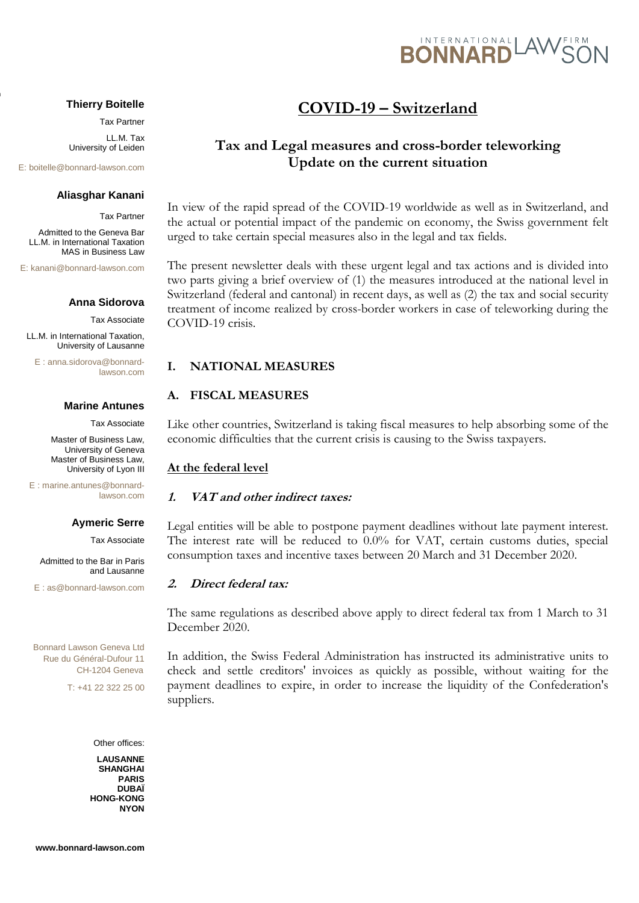

#### **Thierry Boitelle**

Tax Partner

LL.M. Tax University of Leiden

E: [boitelle@bonnard-lawson.com](mailto:yb@bonnard-lawson.com)

 $\overline{\mathbf{r}}$ 

#### **Aliasghar Kanani**

Tax Partner

Admitted to the Geneva Bar LL.M. in International Taxation MAS in Business Law

E: kana[ni@bonnard-lawson.com](mailto:yb@bonnard-lawson.com)

#### **Anna Sidorova**

Tax Associate

LL.M. in International Taxation, University of Lausanne

 $E \cdot$  anna sidorov[a@bonnard](mailto:yb@bonnard-lawson.com)[lawson.com](mailto:yb@bonnard-lawson.com)

#### **Marine Antunes**

Tax Associate

 Master of Business Law, University of Geneva Master of Business Law, University of Lyon III

E : [marine.antunes@bonnard](mailto:aa@bonnard-lawson.com)[lawson.com](mailto:aa@bonnard-lawson.com)

# **Aymeric Serre**

Tax Associate

Admitted to the Bar in Paris and Lausanne

E : as@bonnard-lawson.com

Bonnard Lawson Geneva Ltd Rue du Général-Dufour 11 CH-1204 Geneva

T: +41 22 322 25 00

Other offices:

**LAUSANNE SHANGHAI PARIS DUBAÏ HONG-KONG NYON**

#### **www.bonnard-lawson.com**

# **COVID-19 – Switzerland**

# **Tax and Legal measures and cross-border teleworking Update on the current situation**

In view of the rapid spread of the COVID-19 worldwide as well as in Switzerland, and the actual or potential impact of the pandemic on economy, the Swiss government felt urged to take certain special measures also in the legal and tax fields.

The present newsletter deals with these urgent legal and tax actions and is divided into two parts giving a brief overview of (1) the measures introduced at the national level in Switzerland (federal and cantonal) in recent days, as well as (2) the tax and social security treatment of income realized by cross-border workers in case of teleworking during the COVID-19 crisis.

#### **I. NATIONAL MEASURES**

#### **A. FISCAL MEASURES**

Like other countries, Switzerland is taking fiscal measures to help absorbing some of the economic difficulties that the current crisis is causing to the Swiss taxpayers.

#### **At the federal level**

#### **1. VAT and other indirect taxes:**

Legal entities will be able to postpone payment deadlines without late payment interest. The interest rate will be reduced to 0.0% for VAT, certain customs duties, special consumption taxes and incentive taxes between 20 March and 31 December 2020.

#### **2. Direct federal tax:**

The same regulations as described above apply to direct federal tax from 1 March to 31 December 2020.

In addition, the Swiss Federal Administration has instructed its administrative units to check and settle creditors' invoices as quickly as possible, without waiting for the payment deadlines to expire, in order to increase the liquidity of the Confederation's suppliers.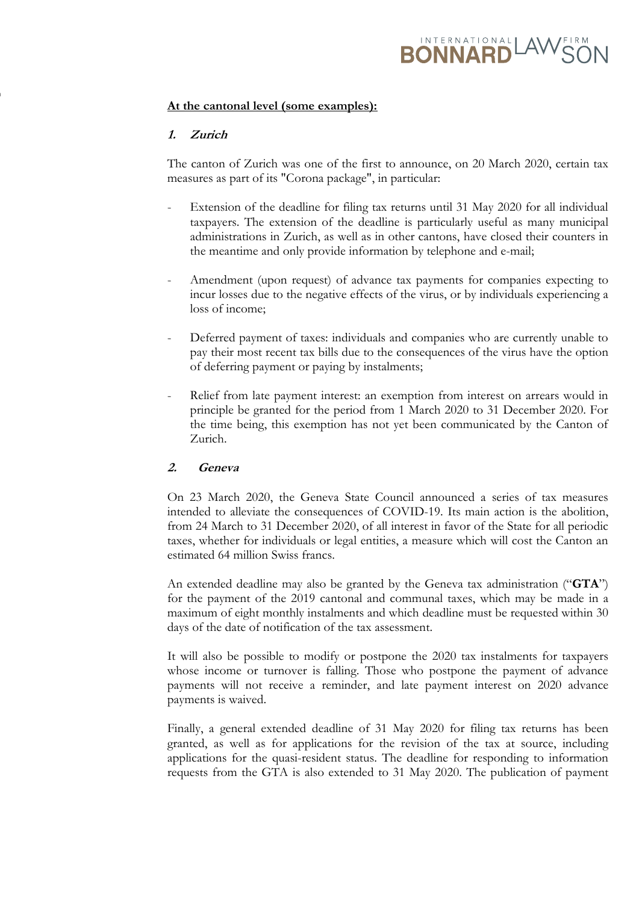# **RONNARD** AWS

# **At the cantonal level (some examples):**

# **1. Zurich**

 $\overline{\mathbf{r}}$ 

The canton of Zurich was one of the first to announce, on 20 March 2020, certain tax measures as part of its "Corona package", in particular:

- Extension of the deadline for filing tax returns until 31 May 2020 for all individual taxpayers. The extension of the deadline is particularly useful as many municipal administrations in Zurich, as well as in other cantons, have closed their counters in the meantime and only provide information by telephone and e-mail;
- Amendment (upon request) of advance tax payments for companies expecting to incur losses due to the negative effects of the virus, or by individuals experiencing a loss of income;
- Deferred payment of taxes: individuals and companies who are currently unable to pay their most recent tax bills due to the consequences of the virus have the option of deferring payment or paying by instalments;
- Relief from late payment interest: an exemption from interest on arrears would in principle be granted for the period from 1 March 2020 to 31 December 2020. For the time being, this exemption has not yet been communicated by the Canton of Zurich.

# **2. Geneva**

On 23 March 2020, the Geneva State Council announced a series of tax measures intended to alleviate the consequences of COVID-19. Its main action is the abolition, from 24 March to 31 December 2020, of all interest in favor of the State for all periodic taxes, whether for individuals or legal entities, a measure which will cost the Canton an estimated 64 million Swiss francs.

An extended deadline may also be granted by the Geneva tax administration ("**GTA**") for the payment of the 2019 cantonal and communal taxes, which may be made in a maximum of eight monthly instalments and which deadline must be requested within 30 days of the date of notification of the tax assessment.

It will also be possible to modify or postpone the 2020 tax instalments for taxpayers whose income or turnover is falling. Those who postpone the payment of advance payments will not receive a reminder, and late payment interest on 2020 advance payments is waived.

Finally, a general extended deadline of 31 May 2020 for filing tax returns has been granted, as well as for applications for the revision of the tax at source, including applications for the quasi-resident status. The deadline for responding to information requests from the GTA is also extended to 31 May 2020. The publication of payment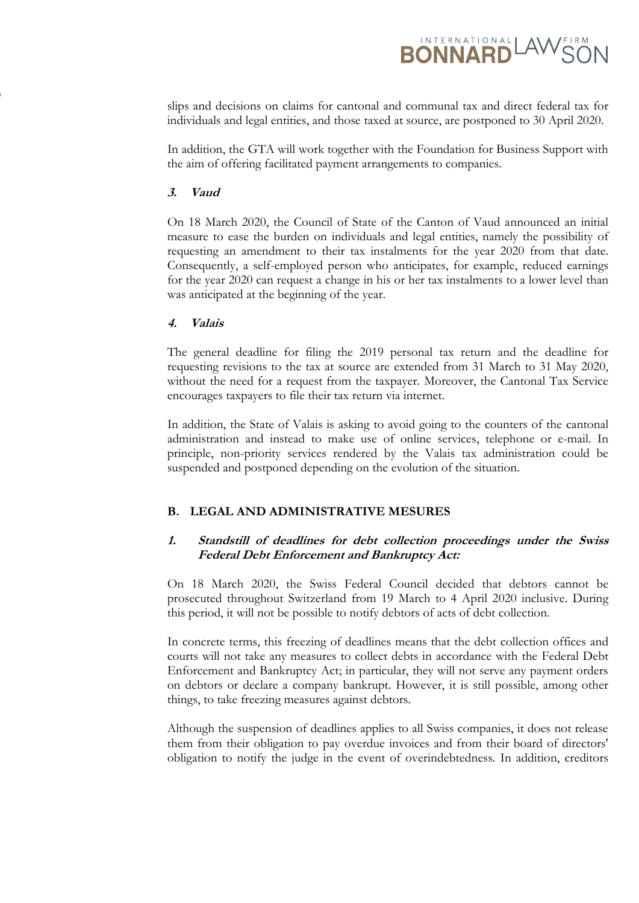

slips and decisions on claims for cantonal and communal tax and direct federal tax for individuals and legal entities, and those taxed at source, are postponed to 30 April 2020.

In addition, the GTA will work together with the Foundation for Business Support with the aim of offering facilitated payment arrangements to companies.

#### **3. Vaud**

 $\overline{\mathbf{r}}$ 

On 18 March 2020, the Council of State of the Canton of Vaud announced an initial measure to ease the burden on individuals and legal entities, namely the possibility of requesting an amendment to their tax instalments for the year 2020 from that date. Consequently, a self-employed person who anticipates, for example, reduced earnings for the year 2020 can request a change in his or her tax instalments to a lower level than was anticipated at the beginning of the year.

#### **4. Valais**

The general deadline for filing the 2019 personal tax return and the deadline for requesting revisions to the tax at source are extended from 31 March to 31 May 2020, without the need for a request from the taxpayer. Moreover, the Cantonal Tax Service encourages taxpayers to file their tax return via internet.

In addition, the State of Valais is asking to avoid going to the counters of the cantonal administration and instead to make use of online services, telephone or e-mail. In principle, non-priority services rendered by the Valais tax administration could be suspended and postponed depending on the evolution of the situation.

# **B. LEGAL AND ADMINISTRATIVE MESURES**

# **1. Standstill of deadlines for debt collection proceedings under the Swiss Federal Debt Enforcement and Bankruptcy Act:**

On 18 March 2020, the Swiss Federal Council decided that debtors cannot be prosecuted throughout Switzerland from 19 March to 4 April 2020 inclusive. During this period, it will not be possible to notify debtors of acts of debt collection.

In concrete terms, this freezing of deadlines means that the debt collection offices and courts will not take any measures to collect debts in accordance with the Federal Debt Enforcement and Bankruptcy Act; in particular, they will not serve any payment orders on debtors or declare a company bankrupt. However, it is still possible, among other things, to take freezing measures against debtors.

Although the suspension of deadlines applies to all Swiss companies, it does not release them from their obligation to pay overdue invoices and from their board of directors' obligation to notify the judge in the event of overindebtedness. In addition, creditors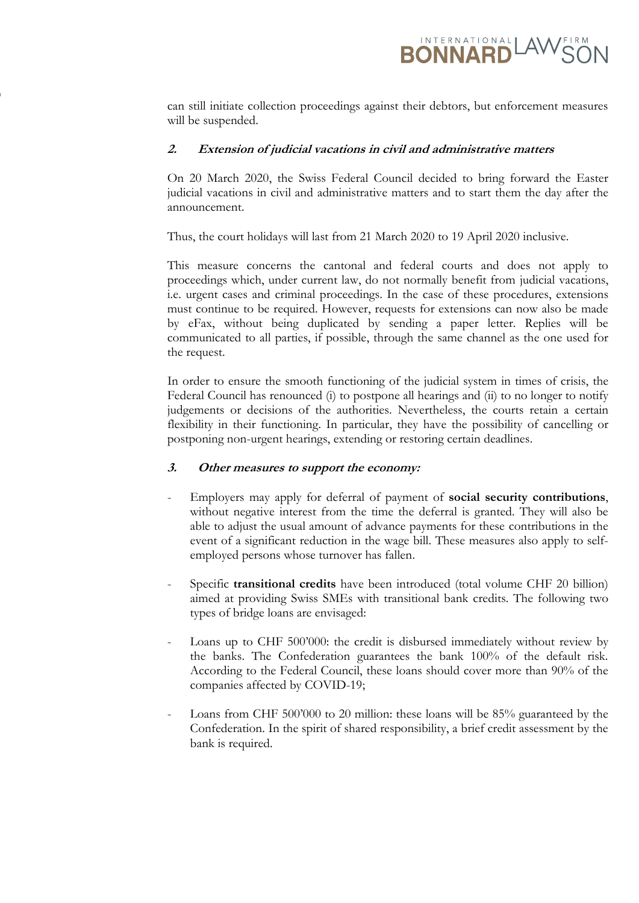

can still initiate collection proceedings against their debtors, but enforcement measures will be suspended.

### **2. Extension of judicial vacations in civil and administrative matters**

On 20 March 2020, the Swiss Federal Council decided to bring forward the Easter judicial vacations in civil and administrative matters and to start them the day after the announcement.

Thus, the court holidays will last from 21 March 2020 to 19 April 2020 inclusive.

This measure concerns the cantonal and federal courts and does not apply to proceedings which, under current law, do not normally benefit from judicial vacations, i.e. urgent cases and criminal proceedings. In the case of these procedures, extensions must continue to be required. However, requests for extensions can now also be made by eFax, without being duplicated by sending a paper letter. Replies will be communicated to all parties, if possible, through the same channel as the one used for the request.

In order to ensure the smooth functioning of the judicial system in times of crisis, the Federal Council has renounced (i) to postpone all hearings and (ii) to no longer to notify judgements or decisions of the authorities. Nevertheless, the courts retain a certain flexibility in their functioning. In particular, they have the possibility of cancelling or postponing non-urgent hearings, extending or restoring certain deadlines.

#### **3. Other measures to support the economy:**

 $\overline{\mathbf{r}}$ 

- Employers may apply for deferral of payment of **social security contributions**, without negative interest from the time the deferral is granted. They will also be able to adjust the usual amount of advance payments for these contributions in the event of a significant reduction in the wage bill. These measures also apply to selfemployed persons whose turnover has fallen.
- Specific **transitional credits** have been introduced (total volume CHF 20 billion) aimed at providing Swiss SMEs with transitional bank credits. The following two types of bridge loans are envisaged:
- Loans up to CHF 500'000: the credit is disbursed immediately without review by the banks. The Confederation guarantees the bank 100% of the default risk. According to the Federal Council, these loans should cover more than 90% of the companies affected by COVID-19;
- Loans from CHF 500'000 to 20 million: these loans will be 85% guaranteed by the Confederation. In the spirit of shared responsibility, a brief credit assessment by the bank is required.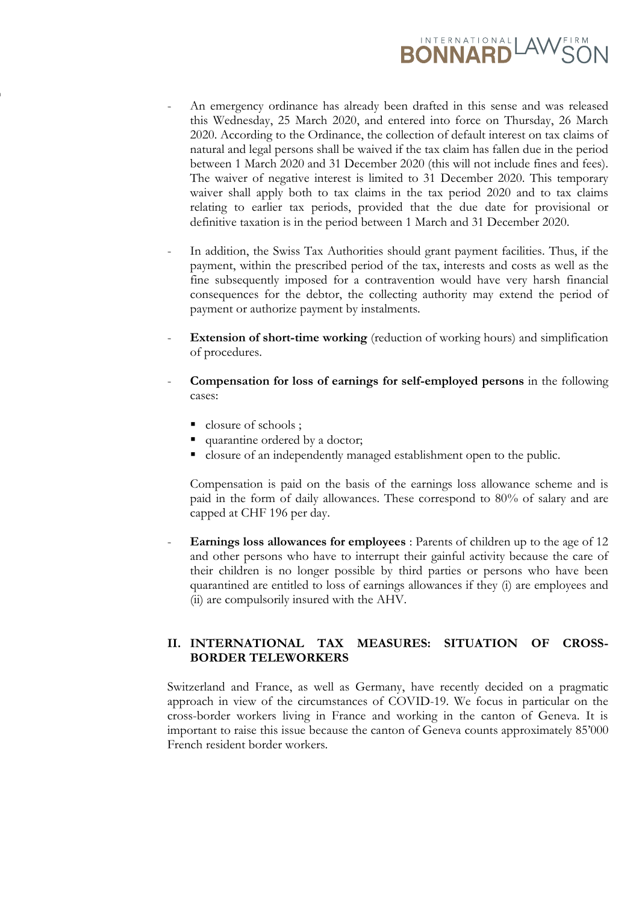# **BONNARD** AWS

- An emergency ordinance has already been drafted in this sense and was released this Wednesday, 25 March 2020, and entered into force on Thursday, 26 March 2020. According to the Ordinance, the collection of default interest on tax claims of natural and legal persons shall be waived if the tax claim has fallen due in the period between 1 March 2020 and 31 December 2020 (this will not include fines and fees). The waiver of negative interest is limited to 31 December 2020. This temporary waiver shall apply both to tax claims in the tax period 2020 and to tax claims relating to earlier tax periods, provided that the due date for provisional or definitive taxation is in the period between 1 March and 31 December 2020.
- In addition, the Swiss Tax Authorities should grant payment facilities. Thus, if the payment, within the prescribed period of the tax, interests and costs as well as the fine subsequently imposed for a contravention would have very harsh financial consequences for the debtor, the collecting authority may extend the period of payment or authorize payment by instalments.
- **Extension of short-time working** (reduction of working hours) and simplification of procedures.
- **Compensation for loss of earnings for self-employed persons** in the following cases:
	- closure of schools ;

 $\overline{\mathbf{r}}$ 

- quarantine ordered by a doctor;
- closure of an independently managed establishment open to the public.

Compensation is paid on the basis of the earnings loss allowance scheme and is paid in the form of daily allowances. These correspond to 80% of salary and are capped at CHF 196 per day.

- **Earnings loss allowances for employees** : Parents of children up to the age of 12 and other persons who have to interrupt their gainful activity because the care of their children is no longer possible by third parties or persons who have been quarantined are entitled to loss of earnings allowances if they (i) are employees and (ii) are compulsorily insured with the AHV.

# **II. INTERNATIONAL TAX MEASURES: SITUATION OF CROSS-BORDER TELEWORKERS**

Switzerland and France, as well as Germany, have recently decided on a pragmatic approach in view of the circumstances of COVID-19. We focus in particular on the cross-border workers living in France and working in the canton of Geneva. It is important to raise this issue because the canton of Geneva counts approximately 85'000 French resident border workers.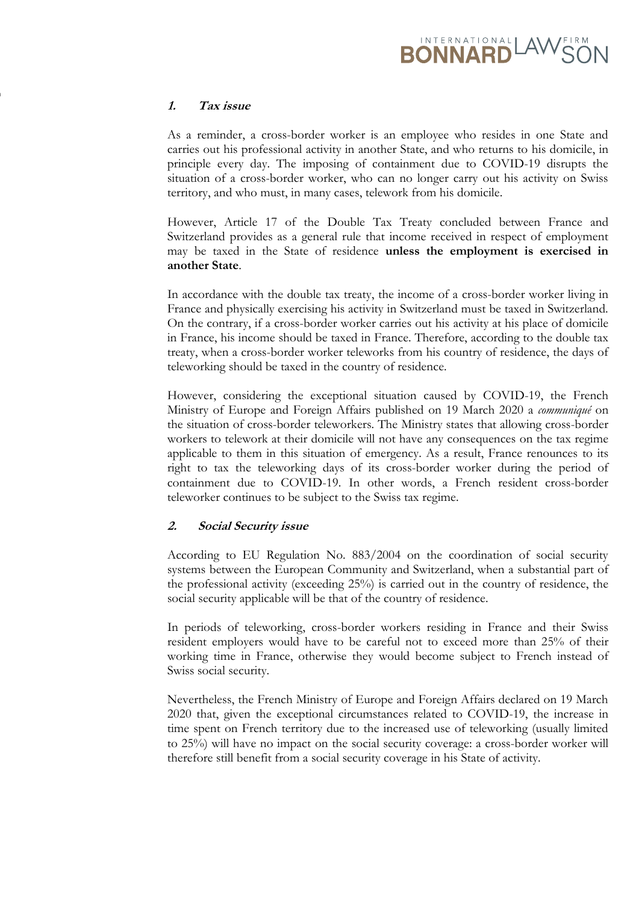# **BONNARD** LAWS

# **1. Tax issue**

 $\overline{\mathbf{r}}$ 

As a reminder, a cross-border worker is an employee who resides in one State and carries out his professional activity in another State, and who returns to his domicile, in principle every day. The imposing of containment due to COVID-19 disrupts the situation of a cross-border worker, who can no longer carry out his activity on Swiss territory, and who must, in many cases, telework from his domicile.

However, Article 17 of the Double Tax Treaty concluded between France and Switzerland provides as a general rule that income received in respect of employment may be taxed in the State of residence **unless the employment is exercised in another State**.

In accordance with the double tax treaty, the income of a cross-border worker living in France and physically exercising his activity in Switzerland must be taxed in Switzerland. On the contrary, if a cross-border worker carries out his activity at his place of domicile in France, his income should be taxed in France. Therefore, according to the double tax treaty, when a cross-border worker teleworks from his country of residence, the days of teleworking should be taxed in the country of residence.

However, considering the exceptional situation caused by COVID-19, the French Ministry of Europe and Foreign Affairs published on 19 March 2020 a *communiqué* on the situation of cross-border teleworkers. The Ministry states that allowing cross-border workers to telework at their domicile will not have any consequences on the tax regime applicable to them in this situation of emergency. As a result, France renounces to its right to tax the teleworking days of its cross-border worker during the period of containment due to COVID-19. In other words, a French resident cross-border teleworker continues to be subject to the Swiss tax regime.

# **2. Social Security issue**

According to EU Regulation No. 883/2004 on the coordination of social security systems between the European Community and Switzerland, when a substantial part of the professional activity (exceeding 25%) is carried out in the country of residence, the social security applicable will be that of the country of residence.

In periods of teleworking, cross-border workers residing in France and their Swiss resident employers would have to be careful not to exceed more than 25% of their working time in France, otherwise they would become subject to French instead of Swiss social security.

Nevertheless, the French Ministry of Europe and Foreign Affairs declared on 19 March 2020 that, given the exceptional circumstances related to COVID-19, the increase in time spent on French territory due to the increased use of teleworking (usually limited to 25%) will have no impact on the social security coverage: a cross-border worker will therefore still benefit from a social security coverage in his State of activity.